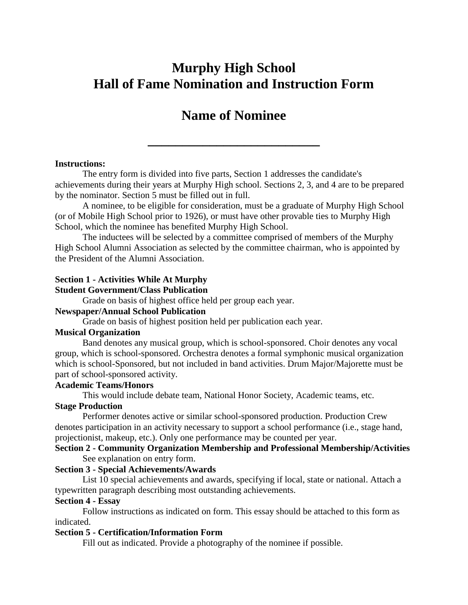# **Murphy High School Hall of Fame Nomination and Instruction Form**

# **Name of Nominee**

**\_\_\_\_\_\_\_\_\_\_\_\_\_\_\_\_\_\_\_\_\_\_\_\_\_**

#### **Instructions:**

The entry form is divided into five parts, Section 1 addresses the candidate's achievements during their years at Murphy High school. Sections 2, 3, and 4 are to be prepared by the nominator. Section 5 must be filled out in full.

A nominee, to be eligible for consideration, must be a graduate of Murphy High School (or of Mobile High School prior to 1926), or must have other provable ties to Murphy High School, which the nominee has benefited Murphy High School.

The inductees will be selected by a committee comprised of members of the Murphy High School Alumni Association as selected by the committee chairman, who is appointed by the President of the Alumni Association.

#### **Section 1 - Activities While At Murphy**

#### **Student Government/Class Publication**

Grade on basis of highest office held per group each year.

#### **Newspaper/Annual School Publication**

Grade on basis of highest position held per publication each year.

#### **Musical Organization**

Band denotes any musical group, which is school-sponsored. Choir denotes any vocal group, which is school-sponsored. Orchestra denotes a formal symphonic musical organization which is school-Sponsored, but not included in band activities. Drum Major/Majorette must be part of school-sponsored activity.

#### **Academic Teams/Honors**

This would include debate team, National Honor Society, Academic teams, etc.

#### **Stage Production**

Performer denotes active or similar school-sponsored production. Production Crew denotes participation in an activity necessary to support a school performance (i.e., stage hand, projectionist, makeup, etc.). Only one performance may be counted per year.

#### **Section 2 - Community Organization Membership and Professional Membership/Activities** See explanation on entry form.

#### **Section 3 - Special Achievements/Awards**

List 10 special achievements and awards, specifying if local, state or national. Attach a typewritten paragraph describing most outstanding achievements.

#### **Section 4 - Essay**

Follow instructions as indicated on form. This essay should be attached to this form as indicated.

#### **Section 5 - Certification/Information Form**

Fill out as indicated. Provide a photography of the nominee if possible.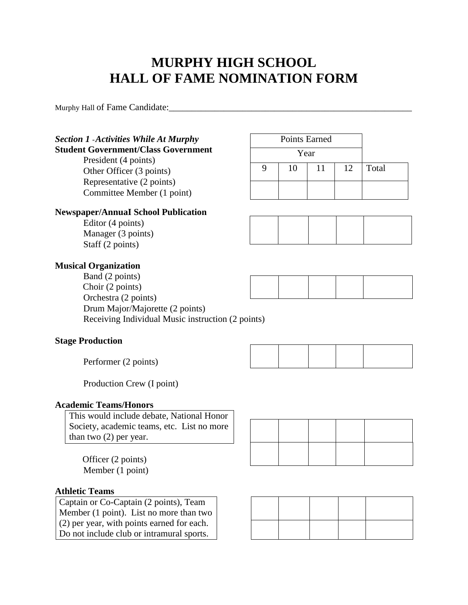# **MURPHY HIGH SCHOOL HALL OF FAME NOMINATION FORM**

Murphy Hall of Fame Candidate:

# *Section 1* -*Activities While At Murphy*

# **Student Government/Class Government**

President (4 points) Other Officer (3 points) Representative (2 points) Committee Member (1 point)

## **Newspaper/AnnuaI School Publication**

Editor (4 points) Manager (3 points) Staff (2 points)

## **Musical Organization**

Band (2 points) Choir (2 points) Orchestra (2 points) Drum Major/Majorette (2 points) Receiving Individual Music instruction (2 points)

## **Stage Production**

Performer (2 points)

Production Crew (I point)

## **Academic Teams/Honors**

This would include debate, National Honor Society, academic teams, etc. List no more than two (2) per year.

Officer (2 points) Member (1 point)

## **Athletic Teams**

Captain or Co-Captain (2 points), Team Member (1 point). List no more than two (2) per year, with points earned for each. Do not include club or intramural sports.

| <b>Points Earned</b> |    |    |    |       |
|----------------------|----|----|----|-------|
| Year                 |    |    |    |       |
|                      | 10 | 11 | 12 | Total |
|                      |    |    |    |       |

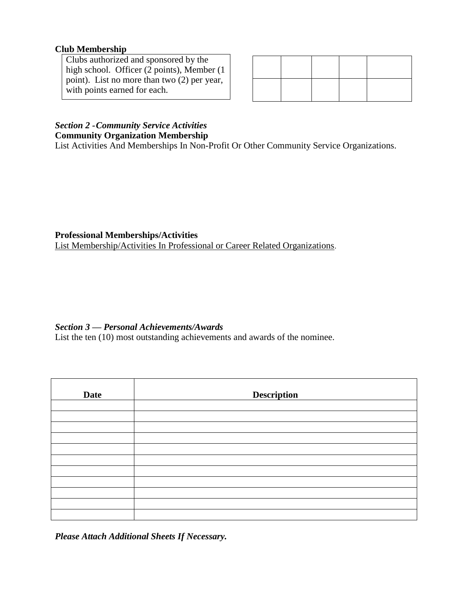# **Club Membership**

Clubs authorized and sponsored by the high school. Officer (2 points), Member (1 point). List no more than two (2) per year, with points earned for each.

# *Section 2 -Community Service Activities*

# **Community Organization Membership**

List Activities And Memberships In Non-Profit Or Other Community Service Organizations.

**Professional Memberships/Activities**

List Membership/Activities In Professional or Career Related Organizations.

# *Section 3* **—** *Personal Achievements/Awards*

List the ten (10) most outstanding achievements and awards of the nominee.

| <b>Date</b> | <b>Description</b> |
|-------------|--------------------|
|             |                    |
|             |                    |
|             |                    |
|             |                    |
|             |                    |
|             |                    |
|             |                    |
|             |                    |
|             |                    |
|             |                    |
|             |                    |

*Please Attach Additional Sheets If Necessary.*